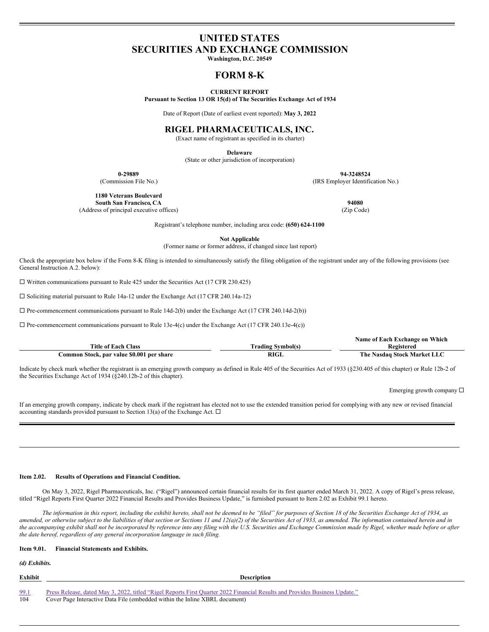# **UNITED STATES SECURITIES AND EXCHANGE COMMISSION**

**Washington, D.C. 20549**

# **FORM 8-K**

#### **CURRENT REPORT**

**Pursuant to Section 13 OR 15(d) of The Securities Exchange Act of 1934**

Date of Report (Date of earliest event reported):**May 3, 2022**

## **RIGEL PHARMACEUTICALS, INC.**

(Exact name of registrant as specified in its charter)

**Delaware**

(State or other jurisdiction of incorporation)

**0-29889 94-3248524**

(Commission File No.) (IRS Employer Identification No.)

**1180 Veterans Boulevard South San Francisco, CA 94080**

(Address of principal executive offices) (Zip Code)

Registrant's telephone number, including area code: **(650) 624-1100**

**Not Applicable**

(Former name or former address, if changed since last report)

Check the appropriate box below if the Form 8-K filing is intended to simultaneously satisfy the filing obligation of the registrant under any of the following provisions (see General Instruction A.2. below):

 $\Box$  Written communications pursuant to Rule 425 under the Securities Act (17 CFR 230.425)

 $\square$  Soliciting material pursuant to Rule 14a-12 under the Exchange Act (17 CFR 240.14a-12)

 $\Box$  Pre-commencement communications pursuant to Rule 14d-2(b) under the Exchange Act (17 CFR 240.14d-2(b))

 $\Box$  Pre-commencement communications pursuant to Rule 13e-4(c) under the Exchange Act (17 CFR 240.13e-4(c))

|                                           |                   | Name of Each Exchange on Which |
|-------------------------------------------|-------------------|--------------------------------|
| <b>Title of Each Class</b>                | [rading Svmbol(s) | Registered                     |
| Common Stock, par value \$0.001 per share | <b>RIGL</b>       | The Nasdaq Stock Market LLC    |

Indicate by check mark whether the registrant is an emerging growth company as defined in Rule 405 of the Securities Act of 1933 (§230.405 of this chapter) or Rule 12b-2 of the Securities Exchange Act of 1934 (§240.12b-2 of this chapter).

Emerging growth company  $\square$ 

If an emerging growth company, indicate by check mark if the registrant has elected not to use the extended transition period for complying with any new or revised financial accounting standards provided pursuant to Section 13(a) of the Exchange Act.  $\Box$ 

#### **Item 2.02. Results of Operations and Financial Condition.**

On May 3, 2022, Rigel Pharmaceuticals, Inc. ("Rigel") announced certain financial results for its first quarter ended March 31, 2022. A copy of Rigel's press release, titled "Rigel Reports First Quarter 2022 Financial Results and Provides Business Update," is furnished pursuant to Item 2.02 as Exhibit 99.1 hereto.

The information in this report, including the exhibit hereto, shall not be deemed to be "filed" for purposes of Section 18 of the Securities Exchange Act of 1934, as amended, or otherwise subject to the liabilities of that section or Sections 11 and 12(a)(2) of the Securities Act of 1933, as amended. The information contained herein and in the accompanying exhibit shall not be incorporated by reference into any filing with the U.S. Securities and Exchange Commission made by Rigel, whether made before or after *the date hereof, regardless of any general incorporation language in such filing.*

## **Item 9.01. Financial Statements and Exhibits.**

*(d) Exhibits.*

**Exhibit Description** [99.1](#page-3-0) Press Release, dated May 3, 2022, titled "Rigel Reports First Quarter 2022 [Financial](#page-3-0) Results and Provides Business Update."<br>
Cover Page Interactive Data File (embedded within the Inline XBRI, document)

<sup>104</sup> Cover Page Interactive Data File (embedded within the Inline XBRL document)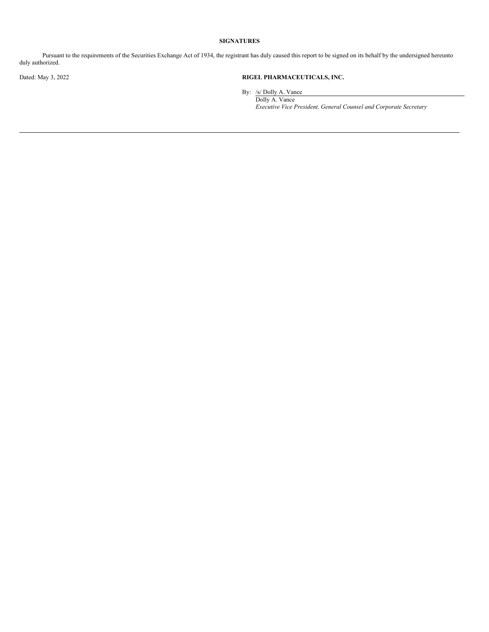## **SIGNATURES**

Pursuant to the requirements of the Securities Exchange Act of 1934, the registrant has duly caused this report to be signed on its behalf by the undersigned hereunto duly authorized.

## Dated: May 3, 2022 **RIGEL PHARMACEUTICALS, INC.**

By: /s/ Dolly A. Vance Dolly A. Vance *Executive Vice President, General Counsel and Corporate Secretary*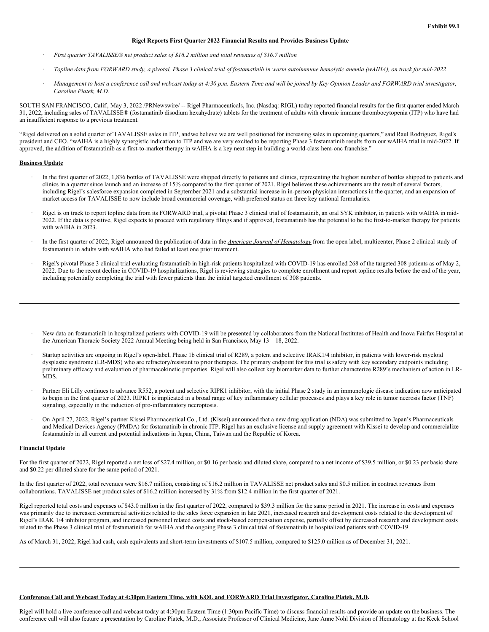#### **Rigel Reports First Quarter 2022 Financial Results and Provides Business Update**

- · *First quarter TAVALISSE® net product sales of \$16.2 million and total revenues of \$16.7 million*
- Topline data from FORWARD study, a pivotal, Phase 3 clinical trial of fostamatinib in warm autoimmune hemolytic anemia (wAIHA), on track for mid-2022
- Management to host a conference call and webcast today at 4:30 p.m. Eastern Time and will be joined by Key Opinion Leader and FORWARD trial investigator, *Caroline Piatek, M.D.*

SOUTH SAN FRANCISCO, Calif., May 3, 2022 /PRNewswire/ -- Rigel Pharmaceuticals, Inc. (Nasdaq: RIGL) today reported financial results for the first quarter ended March 31, 2022, including sales of TAVALISSE® (fostamatinib disodium hexahydrate) tablets for the treatment of adults with chronic immune thrombocytopenia (ITP) who have had an insufficient response to a previous treatment.

"Rigel delivered on a solid quarter of TAVALISSE sales in ITP, andwe believe we are well positioned for increasing sales in upcoming quarters," said Raul Rodriguez, Rigel's president and CEO. "wAIHA is a highly synergistic indication to ITP and we are very excited to be reporting Phase 3 fostamatinib results from our wAIHA trial in mid-2022. If approved, the addition of fostamatinib as a first-to-market therapy in wAIHA is a key next step in building a world-class hem-onc franchise."

#### **Business Update**

- · In the first quarter of 2022, 1,836 bottles of TAVALISSE were shipped directly to patients and clinics, representing the highest number of bottles shipped to patients and clinics in a quarter since launch and an increase of 15% compared to the first quarter of 2021. Rigel believes these achievements are the result of several factors, including Rigel's salesforce expansion completed in September 2021 and a substantial increase in in-person physician interactions in the quarter, and an expansion of market access for TAVALISSE to now include broad commercial coverage, with preferred status on three key national formularies.
- Rigel is on track to report topline data from its FORWARD trial, a pivotal Phase 3 clinical trial of fostamatinib, an oral SYK inhibitor, in patients with wAIHA in mid-2022. If the data is positive, Rigel expects to proceed with regulatory filings and if approved, fostamatinib has the potential to be the first-to-market therapy for patients with wAIHA in 2023.
- · In the first quarter of 2022, Rigel announced the publication of data in the *American Journal of Hematology* from the open label, multicenter, Phase 2 clinical study of fostamatinib in adults with wAIHA who had failed at least one prior treatment.
- · Rigel's pivotal Phase 3 clinical trial evaluating fostamatinib in high-risk patients hospitalized with COVID-19 has enrolled 268 of the targeted 308 patients as of May 2, 2022. Due to the recent decline in COVID-19 hospitalizations, Rigel is reviewing strategies to complete enrollment and report topline results before the end of the year, including potentially completing the trial with fewer patients than the initial targeted enrollment of 308 patients.
- New data on fostamatinib in hospitalized patients with COVID-19 will be presented by collaborators from the National Institutes of Health and Inova Fairfax Hospital at the American Thoracic Society 2022 Annual Meeting being held in San Francisco, May 13 – 18, 2022.
- · Startup activities are ongoing in Rigel's open-label, Phase 1b clinical trial of R289, a potent and selective IRAK1/4 inhibitor, in patients with lower-risk myeloid dysplastic syndrome (LR-MDS) who are refractory/resistant to prior therapies. The primary endpoint for this trial is safety with key secondary endpoints including preliminary efficacy and evaluation of pharmacokinetic properties. Rigel will also collect key biomarker data to further characterize R289's mechanism of action in LR-MDS.
- Partner Eli Lilly continues to advance R552, a potent and selective RIPK1 inhibitor, with the initial Phase 2 study in an immunologic disease indication now anticipated to begin in the first quarter of 2023. RIPK1 is implicated in a broad range of key inflammatory cellular processes and plays a key role in tumor necrosis factor (TNF) signaling, especially in the induction of pro-inflammatory necroptosis.
- · On April 27, 2022, Rigel's partner Kissei Pharmaceutical Co., Ltd. (Kissei) announced that a new drug application (NDA) was submitted to Japan's Pharmaceuticals and Medical Devices Agency (PMDA) for fostamatinib in chronic ITP. Rigel has an exclusive license and supply agreement with Kissei to develop and commercialize fostamatinib in all current and potential indications in Japan, China, Taiwan and the Republic of Korea.

#### **Financial Update**

For the first quarter of 2022, Rigel reported a net loss of \$27.4 million, or \$0.16 per basic and diluted share, compared to a net income of \$39.5 million, or \$0.23 per basic share and \$0.22 per diluted share for the same period of 2021.

In the first quarter of 2022, total revenues were \$16.7 million, consisting of \$16.2 million in TAVALISSE net product sales and \$0.5 million in contract revenues from collaborations. TAVALISSE net product sales of \$16.2 million increased by 31% from \$12.4 million in the first quarter of 2021.

Rigel reported total costs and expenses of \$43.0 million in the first quarter of 2022, compared to \$39.3 million for the same period in 2021. The increase in costs and expenses was primarily due to increased commercial activities related to the sales force expansion in late 2021, increased research and development costs related to the development of Rigel's IRAK 1/4 inhibitor program, and increased personnel related costs and stock-based compensation expense, partially offset by decreased research and development costs related to the Phase 3 clinical trial of fostamatinib for wAIHA and the ongoing Phase 3 clinical trial of fostamatinib in hospitalized patients with COVID-19.

As of March 31, 2022, Rigel had cash, cash equivalents and short-term investments of \$107.5 million, compared to \$125.0 million as of December 31, 2021.

## Conference Call and Webcast Today at 4:30pm Eastern Time, with KOL and FORWARD Trial Investigator, Caroline Piatek, M.D.

Rigel will hold a live conference call and webcast today at 4:30pm Eastern Time (1:30pm Pacific Time) to discuss financial results and provide an update on the business. The conference call will also feature a presentation by Caroline Piatek, M.D., Associate Professor of Clinical Medicine, Jane Anne Nohl Division of Hematology at the Keck School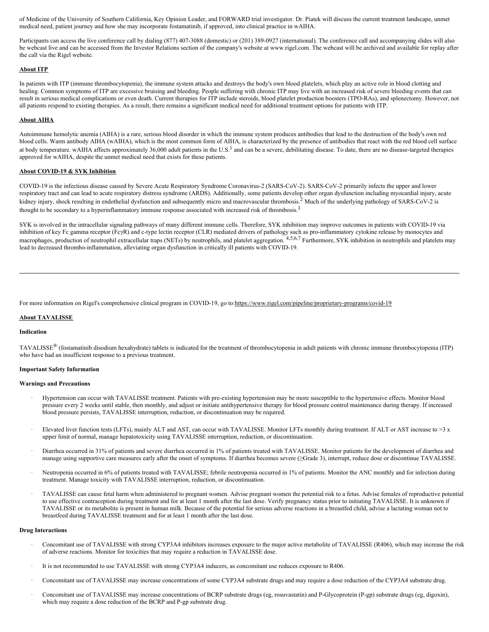<span id="page-3-0"></span>of Medicine of the University of Southern California, Key Opinion Leader, and FORWARD trial investigator. Dr. Piatek will discuss the current treatment landscape, unmet medical need, patient journey and how she may incorporate fostamatinib, if approved, into clinical practice in wAIHA.

Participants can access the live conference call by dialing (877) 407-3088 (domestic) or (201) 389-0927 (international). The conference call and accompanying slides will also be webcast live and can be accessed from the Investor Relations section of the company's website at www.rigel.com. The webcast will be archived and available for replay after the call via the Rigel website.

### **About ITP**

In patients with ITP (immune thrombocytopenia), the immune system attacks and destroys the body's own blood platelets, which play an active role in blood clotting and healing. Common symptoms of ITP are excessive bruising and bleeding. People suffering with chronic ITP may live with an increased risk of severe bleeding events that can result in serious medical complications or even death. Current therapies for ITP include steroids, blood platelet production boosters (TPO-RAs), and splenectomy. However, not all patients respond to existing therapies. As a result, there remains a significant medical need for additional treatment options for patients with ITP.

#### **About AIHA**

Autoimmune hemolytic anemia (AIHA) is a rare, serious blood disorder in which the immune system produces antibodies that lead to the destruction of the body's own red blood cells. Warm antibody AIHA (wAIHA), which is the most common form of AIHA, is characterized by the presence of antibodies that react with the red blood cell surface at body temperature. wAIHA affects approximately 36,000 adult patients in the U.S.<sup>1</sup> and can be a severe, debilitating disease. To date, there are no disease-targeted therapies approved for wAIHA, despite the unmet medical need that exists for these patients.

#### **About COVID-19 & SYK Inhibition**

COVID-19 is the infectious disease caused by Severe Acute Respiratory Syndrome Coronavirus-2 (SARS-CoV-2). SARS-CoV-2 primarily infects the upper and lower respiratory tract and can lead to acute respiratory distress syndrome (ARDS). Additionally, some patients develop other organ dysfunction including myocardial injury, acute kidney injury, shock resulting in endothelial dysfunction and subsequently micro and macrovascular thrombosis.<sup>2</sup> Much of the underlying pathology of SARS-CoV-2 is thought to be secondary to a hyperinflammatory immune response associated with increased risk of thrombosis.<sup>3</sup>

SYK is involved in the intracellular signaling pathways of many different immune cells. Therefore, SYK inhibition may improve outcomes in patients with COVID-19 via inhibition of key Fc gamma receptor (FcγR) and c-type lectin receptor (CLR) mediated drivers of pathology such as pro-inflammatory cytokine release by monocytes and macrophages, production of neutrophil extracellular traps (NETs) by neutrophils, and platelet aggregation. 4,5,6,7 Furthermore, SYK inhibition in neutrophils and platelets may lead to decreased thrombo-inflammation, alleviating organ dysfunction in critically ill patients with COVID-19.

For more information on Rigel's comprehensive clinical program in COVID-19, go to:https://www.rigel.com/pipeline/proprietary-programs/covid-19

#### **About TAVALISSE**

#### **Indication**

TAVALISSE® (fostamatinib disodium hexahydrate) tablets is indicated for the treatment of thrombocytopenia in adult patients with chronic immune thrombocytopenia (ITP) who have had an insufficient response to a previous treatment.

#### **Important Safety Information**

#### **Warnings and Precautions**

- · Hypertension can occur with TAVALISSE treatment. Patients with pre-existing hypertension may be more susceptible to the hypertensive effects. Monitor blood pressure every 2 weeks until stable, then monthly, and adjust or initiate antihypertensive therapy for blood pressure control maintenance during therapy. If increased blood pressure persists, TAVALISSE interruption, reduction, or discontinuation may be required.
- Elevated liver function tests (LFTs), mainly ALT and AST, can occur with TAVALISSE. Monitor LFTs monthly during treatment. If ALT or AST increase to >3 x upper limit of normal, manage hepatotoxicity using TAVALISSE interruption, reduction, or discontinuation.
- · Diarrhea occurred in 31% of patients and severe diarrhea occurred in 1% of patients treated with TAVALISSE. Monitor patients for the development of diarrhea and manage using supportive care measures early after the onset of symptoms. If diarrhea becomes severe (≥Grade 3), interrupt, reduce dose or discontinue TAVALISSE.
- Neutropenia occurred in 6% of patients treated with TAVALISSE; febrile neutropenia occurred in 1% of patients. Monitor the ANC monthly and for infection during treatment. Manage toxicity with TAVALISSE interruption, reduction, or discontinuation.
- · TAVALISSE can cause fetal harm when administered to pregnant women. Advise pregnant women the potential risk to a fetus. Advise females of reproductive potential to use effective contraception during treatment and for at least 1 month after the last dose. Verify pregnancy status prior to initiating TAVALISSE. It is unknown if TAVALISSE or its metabolite is present in human milk. Because of the potential for serious adverse reactions in a breastfed child, advise a lactating woman not to breastfeed during TAVALISSE treatment and for at least 1 month after the last dose.

#### **Drug Interactions**

- · Concomitant use of TAVALISSE with strong CYP3A4 inhibitors increases exposure to the major active metabolite of TAVALISSE (R406), which may increase the risk of adverse reactions. Monitor for toxicities that may require a reduction in TAVALISSE dose.
- It is not recommended to use TAVALISSE with strong CYP3A4 inducers, as concomitant use reduces exposure to R406.
- · Concomitant use of TAVALISSE may increase concentrations of some CYP3A4 substrate drugs and may require a dose reduction of the CYP3A4 substrate drug.
- · Concomitant use of TAVALISSE may increase concentrations of BCRP substrate drugs (eg, rosuvastatin) and P-Glycoprotein (P-gp) substrate drugs (eg, digoxin), which may require a dose reduction of the BCRP and P-gp substrate drug.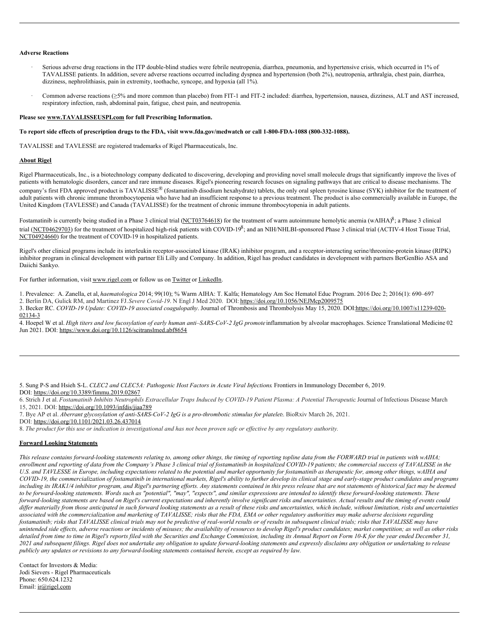### **Adverse Reactions**

- · Serious adverse drug reactions in the ITP double-blind studies were febrile neutropenia, diarrhea, pneumonia, and hypertensive crisis, which occurred in 1% of TAVALISSE patients. In addition, severe adverse reactions occurred including dyspnea and hypertension (both 2%), neutropenia, arthralgia, chest pain, diarrhea, dizziness, nephrolithiasis, pain in extremity, toothache, syncope, and hypoxia (all 1%).
- · Common adverse reactions (≥5% and more common than placebo) from FIT-1 and FIT-2 included: diarrhea, hypertension, nausea, dizziness, ALT and AST increased, respiratory infection, rash, abdominal pain, fatigue, chest pain, and neutropenia.

## **Please see www.TAVALISSEUSPI.com for full Prescribing Information.**

#### To report side effects of prescription drugs to the FDA, visit www.fda.gov/medwatch or call 1-800-FDA-1088 (800-332-1088).

TAVALISSE and TAVLESSE are registered trademarks of Rigel Pharmaceuticals, Inc.

#### **About Rigel**

Rigel Pharmaceuticals, Inc., is a biotechnology company dedicated to discovering, developing and providing novel small molecule drugs that significantly improve the lives of patients with hematologic disorders, cancer and rare immune diseases. Rigel's pioneering research focuses on signaling pathways that are critical to disease mechanisms. The company's first FDA approved product is TAVALISSE<sup>®</sup> (fostamatinib disodium hexahydrate) tablets, the only oral spleen tyrosine kinase (SYK) inhibitor for the treatment of adult patients with chronic immune thrombocytopenia who have had an insufficient response to a previous treatment. The product is also commercially available in Europe, the United Kingdom (TAVLESSE) and Canada (TAVALISSE) for the treatment of chronic immune thrombocytopenia in adult patients.

Fostamatinib is currently being studied in a Phase 3 clinical trial (NCT03764618) for the treatment of warm autoimmune hemolytic anemia (wAIHA)<sup>8</sup>; a Phase 3 clinical trial (NCT04629703) for the treatment of hospitalized high-risk patients with COVID-19<sup>8</sup>; and an NIH/NHLBI-sponsored Phase 3 clinical trial (ACTIV-4 Host Tissue Trial, NCT04924660) for the treatment of COVID-19 in hospitalized patients.

Rigel's other clinical programs include its interleukin receptor-associated kinase (IRAK) inhibitor program, and a receptor-interacting serine/threonine-protein kinase (RIPK) inhibitor program in clinical development with partner Eli Lilly and Company. In addition, Rigel has product candidates in development with partners BerGenBio ASA and Daiichi Sankyo.

For further information, visit www.rigel.com or follow us on Twitter or LinkedIn.

- 1. Prevalence: A. Zanella, et al, *haematologica* 2014; 99(10); % Warm AIHA: T. Kalfa; Hematology Am Soc Hematol Educ Program. 2016 Dec 2; 2016(1): 690–697
- 2. Berlin DA, Gulick RM, and Martinez FJ.*Severe Covid-19*. N Engl J Med 2020. DOI: https://doi.org/10.1056/NEJMcp2009575 3. Becker RC. *COVID-19 Update: COVID-19 associated coagulopathy*. Journal of Thrombosis and Thrombolysis May 15, 2020. DOI:https://doi.org/10.1007/s11239-020-
- 02134-3

4. Hoepel W et al. High titers and low fucosylation of early human anti-SARS-CoV-2 IgG promote inflammation by alveolar macrophages. Science Translational Medicine 02 Jun 2021. DOI: https://www.doi.org/10.1126/scitranslmed.abf8654

5. Sung P-S and Hsieh S-L. *CLEC2 and CLEC5A: Pathogenic Host Factors in Acute Viral Infections*. Frontiers in Immunology December 6, 2019. DOI: https://doi.org/10.3389/fimmu.2019.02867

6. Strich J et al. Fostamatinib Inhibits Neutrophils Extracellular Traps Induced by COVID-19 Patient Plasma: A Potential Therapeutic Journal of Infectious Disease March 15, 2021. DOI: https://doi.org/10.1093/infdis/jiaa789

7. Bye AP et al. *Aberrant glycosylation of anti-SARS-CoV-2 IgG is a pro-thrombotic stimulus for platelets*. BioRxiv March 26, 2021.

DOI: https://doi.org/10.1101/2021.03.26.437014

8. The product for this use or indication is investigational and has not been proven safe or effective by any regulatory authority.

## **Forward Looking Statements**

This release contains forward-looking statements relating to, among other things, the timing of reporting topline data from the FORWARD trial in patients with wAIHA; enrollment and reporting of data from the Company's Phase 3 clinical trial of fostamatinib in hospitalized COVID-19 patients; the commercial success of TAVALISSE in the U.S. and TAVLESSE in Europe, including expectations related to the potential and market opportunity for fostamatinib as therapeutic for, among other things, wAIHA and COVID-19, the commercialization of fostamatinib in international markets, Rigel's ability to further develop its clinical stage and early-stage product candidates and programs including its IRAK1/4 inhibitor program, and Rigel's partnering efforts. Any statements contained in this press release that are not statements of historical fact may be deemed to be forward-looking statements. Words such as "potential", "may", "expects", and similar expressions are intended to identify these forward-looking statements. These forward-looking statements are based on Rigel's current expectations and inherently involve significant risks and uncertainties. Actual results and the timing of events could differ materially from those anticipated in such forward looking statements as a result of these risks and uncertainties, which include, without limitation, risks and uncertainties associated with the commercialization and marketing of TAVALISSE; risks that the FDA, EMA or other regulatory authorities may make adverse decisions regarding fostamatinib; risks that TAVALISSE clinical trials may not be predictive of real-world results or of results in subsequent clinical trials; risks that TAVALISSE may have unintended side effects, adverse reactions or incidents of misuses; the availability of resources to develop Rigel's product candidates; market competition; as well as other risks detailed from time to time in Rigel's reports filed with the Securities and Exchange Commission, including its Annual Report on Form 10-K for the year ended December 31, 2021 and subsequent filings. Rigel does not undertake any obligation to update forward-looking statements and expressly disclaims any obligation or undertaking to release *publicly any updates or revisions to any forward-looking statements contained herein, except as required by law.*

Contact for Investors & Media: Jodi Sievers - Rigel Pharmaceuticals Phone: 650.624.1232 Email: ir@rigel.com